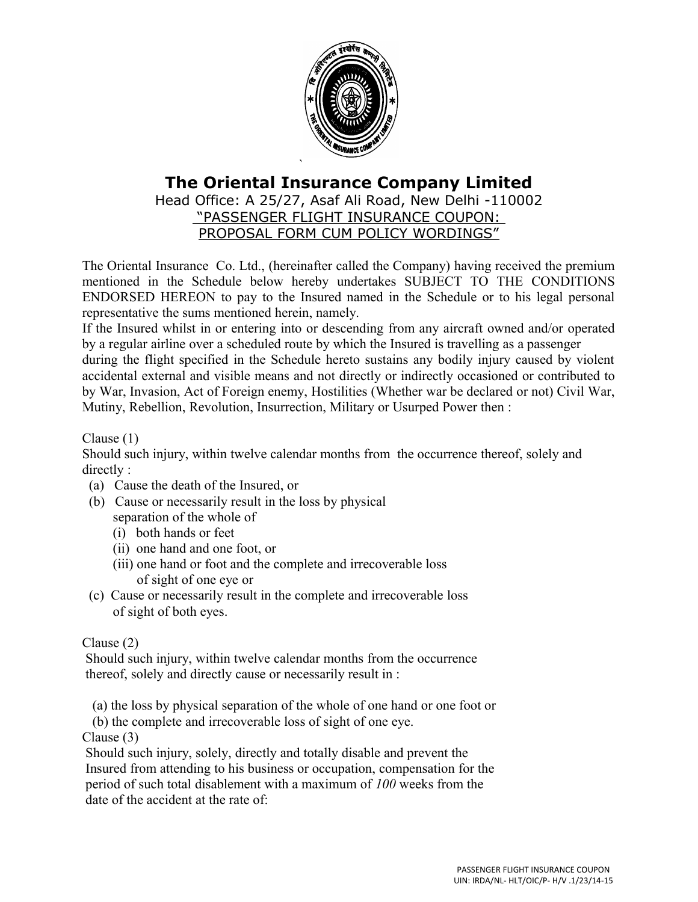

# **The Oriental Insurance Company Limited**

Head Office: A 25/27, Asaf Ali Road, New Delhi -110002 "PASSENGER FLIGHT INSURANCE COUPON: PROPOSAL FORM CUM POLICY WORDINGS"

The Oriental Insurance Co. Ltd., (hereinafter called the Company) having received the premium mentioned in the Schedule below hereby undertakes SUBJECT TO THE CONDITIONS ENDORSED HEREON to pay to the Insured named in the Schedule or to his legal personal representative the sums mentioned herein, namely.

If the Insured whilst in or entering into or descending from any aircraft owned and/or operated by a regular airline over a scheduled route by which the Insured is travelling as a passenger

during the flight specified in the Schedule hereto sustains any bodily injury caused by violent accidental external and visible means and not directly or indirectly occasioned or contributed to by War, Invasion, Act of Foreign enemy, Hostilities (Whether war be declared or not) Civil War, Mutiny, Rebellion, Revolution, Insurrection, Military or Usurped Power then :

Clause (1)

Should such injury, within twelve calendar months from the occurrence thereof, solely and directly :

- (a) Cause the death of the Insured, or
- (b) Cause or necessarily result in the loss by physical separation of the whole of
	- (i) both hands or feet
	- (ii) one hand and one foot, or
	- (iii) one hand or foot and the complete and irrecoverable loss of sight of one eye or
- (c) Cause or necessarily result in the complete and irrecoverable loss of sight of both eyes.

## Clause (2)

 Should such injury, within twelve calendar months from the occurrence thereof, solely and directly cause or necessarily result in :

(a) the loss by physical separation of the whole of one hand or one foot or

(b) the complete and irrecoverable loss of sight of one eye.

Clause (3)

 Should such injury, solely, directly and totally disable and prevent the Insured from attending to his business or occupation, compensation for the period of such total disablement with a maximum of *100* weeks from the date of the accident at the rate of: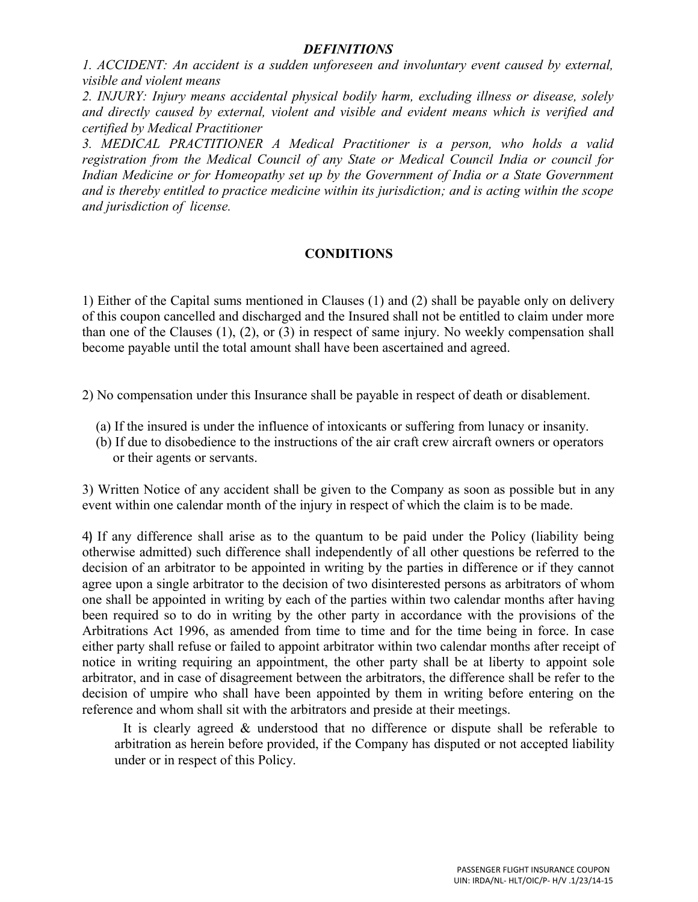#### *DEFINITIONS*

*1. ACCIDENT: An accident is a sudden unforeseen and involuntary event caused by external, visible and violent means*

*2. INJURY: Injury means accidental physical bodily harm, excluding illness or disease, solely and directly caused by external, violent and visible and evident means which is verified and certified by Medical Practitioner*

*3. MEDICAL PRACTITIONER A Medical Practitioner is a person, who holds a valid registration from the Medical Council of any State or Medical Council India or council for Indian Medicine or for Homeopathy set up by the Government of India or a State Government and is thereby entitled to practice medicine within its jurisdiction; and is acting within the scope and jurisdiction of license.*

#### **CONDITIONS**

1) Either of the Capital sums mentioned in Clauses (1) and (2) shall be payable only on delivery of this coupon cancelled and discharged and the Insured shall not be entitled to claim under more than one of the Clauses (1), (2), or (3) in respect of same injury. No weekly compensation shall become payable until the total amount shall have been ascertained and agreed.

2) No compensation under this Insurance shall be payable in respect of death or disablement.

- (a) If the insured is under the influence of intoxicants or suffering from lunacy or insanity.
- (b) If due to disobedience to the instructions of the air craft crew aircraft owners or operators or their agents or servants.

3) Written Notice of any accident shall be given to the Company as soon as possible but in any event within one calendar month of the injury in respect of which the claim is to be made.

4**)** If any difference shall arise as to the quantum to be paid under the Policy (liability being otherwise admitted) such difference shall independently of all other questions be referred to the decision of an arbitrator to be appointed in writing by the parties in difference or if they cannot agree upon a single arbitrator to the decision of two disinterested persons as arbitrators of whom one shall be appointed in writing by each of the parties within two calendar months after having been required so to do in writing by the other party in accordance with the provisions of the Arbitrations Act 1996, as amended from time to time and for the time being in force. In case either party shall refuse or failed to appoint arbitrator within two calendar months after receipt of notice in writing requiring an appointment, the other party shall be at liberty to appoint sole arbitrator, and in case of disagreement between the arbitrators, the difference shall be refer to the decision of umpire who shall have been appointed by them in writing before entering on the reference and whom shall sit with the arbitrators and preside at their meetings.

It is clearly agreed & understood that no difference or dispute shall be referable to arbitration as herein before provided, if the Company has disputed or not accepted liability under or in respect of this Policy.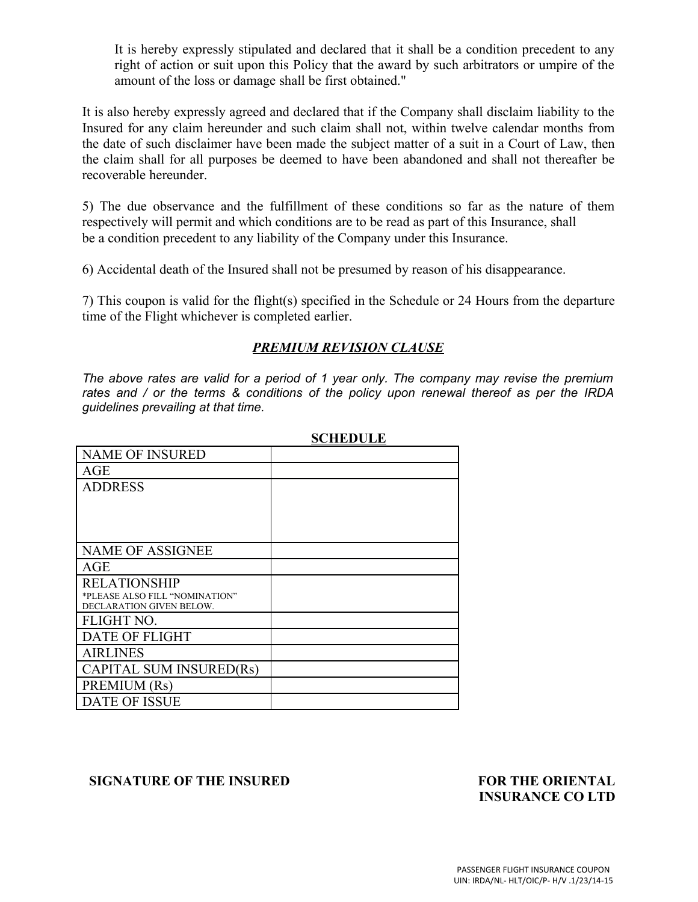It is hereby expressly stipulated and declared that it shall be a condition precedent to any right of action or suit upon this Policy that the award by such arbitrators or umpire of the amount of the loss or damage shall be first obtained."

It is also hereby expressly agreed and declared that if the Company shall disclaim liability to the Insured for any claim hereunder and such claim shall not, within twelve calendar months from the date of such disclaimer have been made the subject matter of a suit in a Court of Law, then the claim shall for all purposes be deemed to have been abandoned and shall not thereafter be recoverable hereunder.

5) The due observance and the fulfillment of these conditions so far as the nature of them respectively will permit and which conditions are to be read as part of this Insurance, shall be a condition precedent to any liability of the Company under this Insurance.

6) Accidental death of the Insured shall not be presumed by reason of his disappearance.

7) This coupon is valid for the flight(s) specified in the Schedule or 24 Hours from the departure time of the Flight whichever is completed earlier.

### *PREMIUM REVISION CLAUSE*

*The above rates are valid for a period of 1 year only. The company may revise the premium rates and / or the terms & conditions of the policy upon renewal thereof as per the IRDA guidelines prevailing at that time.*

|                                                            | <u>,,,,,,,,,,</u> |
|------------------------------------------------------------|-------------------|
| <b>NAME OF INSURED</b>                                     |                   |
| AGE                                                        |                   |
| <b>ADDRESS</b>                                             |                   |
|                                                            |                   |
|                                                            |                   |
|                                                            |                   |
| <b>NAME OF ASSIGNEE</b>                                    |                   |
| AGE                                                        |                   |
| <b>RELATIONSHIP</b>                                        |                   |
| *PLEASE ALSO FILL "NOMINATION"<br>DECLARATION GIVEN BELOW. |                   |
| FLIGHT NO.                                                 |                   |
| <b>DATE OF FLIGHT</b>                                      |                   |
| <b>AIRLINES</b>                                            |                   |
|                                                            |                   |
| <b>CAPITAL SUM INSURED(Rs)</b>                             |                   |
| PREMIUM (Rs)                                               |                   |
| <b>DATE OF ISSUE</b>                                       |                   |

**SCHEDULE**

#### **SIGNATURE OF THE INSURED FOR THE ORIENTAL**

# **INSURANCE CO LTD**